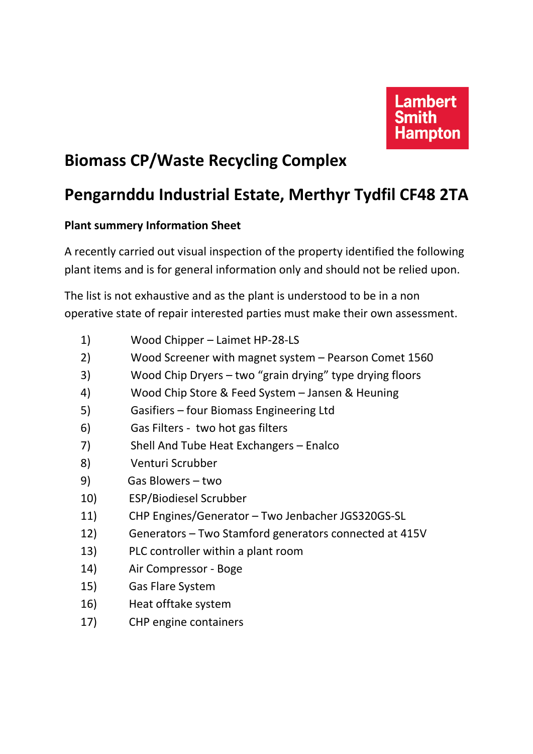

## **Biomass CP/Waste Recycling Complex**

## **Pengarnddu Industrial Estate, Merthyr Tydfil CF48 2TA**

## **Plant summery Information Sheet**

A recently carried out visual inspection of the property identified the following plant items and is for general information only and should not be relied upon.

The list is not exhaustive and as the plant is understood to be in a non operative state of repair interested parties must make their own assessment.

- 1) Wood Chipper Laimet HP-28-LS
- 2) Wood Screener with magnet system Pearson Comet 1560
- 3) Wood Chip Dryers two "grain drying" type drying floors
- 4) Wood Chip Store & Feed System Jansen & Heuning
- 5) Gasifiers four Biomass Engineering Ltd
- 6) Gas Filters two hot gas filters
- 7) Shell And Tube Heat Exchangers Enalco
- 8) Venturi Scrubber
- 9) Gas Blowers two
- 10) ESP/Biodiesel Scrubber
- 11) CHP Engines/Generator Two Jenbacher JGS320GS-SL
- 12) Generators Two Stamford generators connected at 415V
- 13) PLC controller within a plant room
- 14) Air Compressor Boge
- 15) Gas Flare System
- 16) Heat offtake system
- 17) CHP engine containers